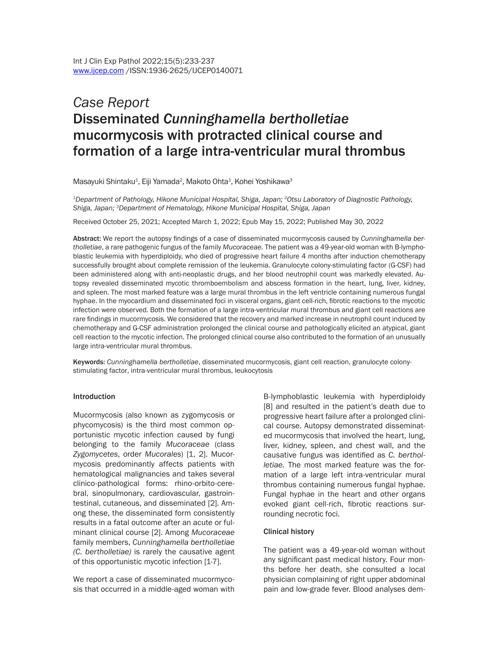# *Case Report* Disseminated *Cunninghamella bertholletiae* mucormycosis with protracted clinical course and formation of a large intra-ventricular mural thrombus

Masayuki Shintaku<sup>1</sup>, Eiji Yamada<sup>2</sup>, Makoto Ohta<sup>1</sup>, Kohei Yoshikawa<sup>3</sup>

*1Department of Pathology, Hikone Municipal Hospital, Shiga, Japan; 2Otsu Laboratory of Diagnostic Pathology, Shiga, Japan; 3Department of Hematology, Hikone Municipal Hospital, Shiga, Japan*

Received October 25, 2021; Accepted March 1, 2022; Epub May 15, 2022; Published May 30, 2022

Abstract: We report the autopsy findings of a case of disseminated mucormycosis caused by *Cunninghamella bertholletiae*, a rare pathogenic fungus of the family *Mucoraceae.* The patient was a 49-year-old woman with B-lymphoblastic leukemia with hyperdiploidy, who died of progressive heart failure 4 months after induction chemotherapy successfully brought about complete remission of the leukemia. Granulocyte colony-stimulating factor (G-CSF) had been administered along with anti-neoplastic drugs, and her blood neutrophil count was markedly elevated. Autopsy revealed disseminated mycotic thromboembolism and abscess formation in the heart, lung, liver, kidney, and spleen. The most marked feature was a large mural thrombus in the left ventricle containing numerous fungal hyphae. In the myocardium and disseminated foci in visceral organs, giant cell-rich, fibrotic reactions to the mycotic infection were observed. Both the formation of a large intra-ventricular mural thrombus and giant cell reactions are rare findings in mucormycosis. We considered that the recovery and marked increase in neutrophil count induced by chemotherapy and G-CSF administration prolonged the clinical course and pathologically elicited an atypical, giant cell reaction to the mycotic infection. The prolonged clinical course also contributed to the formation of an unusually large intra-ventricular mural thrombus.

Keywords: *Cunninghamella bertholletiae*, disseminated mucormycosis, giant cell reaction, granulocyte colonystimulating factor, intra-ventricular mural thrombus, leukocytosis

#### Introduction

Mucormycosis (also known as zygomycosis or phycomycosis) is the third most common opportunistic mycotic infection caused by fungi belonging to the family *Mucoraceae* (class *Zygomycetes*, order *Mucorales*) [1, 2]. Mucormycosis predominantly affects patients with hematological malignancies and takes several clinico-pathological forms: rhino-orbito-cerebral, sinopulmonary, cardiovascular, gastrointestinal, cutaneous, and disseminated [2]. Among these, the disseminated form consistently results in a fatal outcome after an acute or fulminant clinical course [2]. Among *Mucoraceae* family members, *Cunninghamella bertholletiae (C. bertholletiae)* is rarely the causative agent of this opportunistic mycotic infection [1-7].

We report a case of disseminated mucormycosis that occurred in a middle-aged woman with

B-lymphoblastic leukemia with hyperdiploidy [8] and resulted in the patient's death due to progressive heart failure after a prolonged clinical course. Autopsy demonstrated disseminated mucormycosis that involved the heart, lung, liver, kidney, spleen, and chest wall, and the causative fungus was identified as *C. bertholletiae.* The most marked feature was the formation of a large left intra-ventricular mural thrombus containing numerous fungal hyphae. Fungal hyphae in the heart and other organs evoked giant cell-rich, fibrotic reactions surrounding necrotic foci.

#### Clinical history

The patient was a 49-year-old woman without any significant past medical history. Four months before her death, she consulted a local physician complaining of right upper abdominal pain and low-grade fever. Blood analyses dem-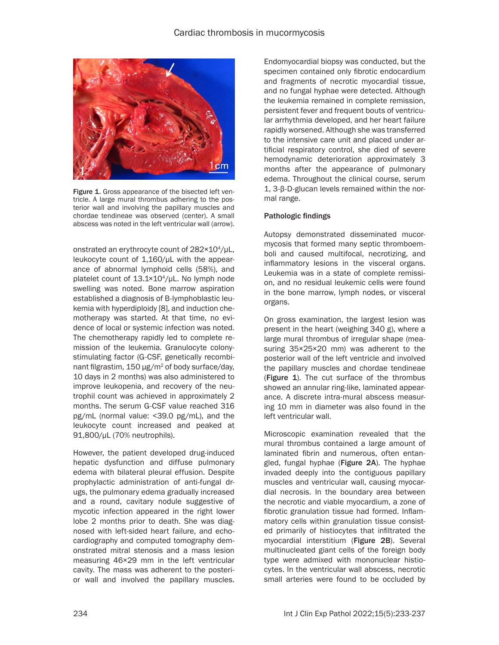

Figure 1. Gross appearance of the bisected left ventricle. A large mural thrombus adhering to the posterior wall and involving the papillary muscles and chordae tendineae was observed (center). A small abscess was noted in the left ventricular wall (arrow).

onstrated an erythrocyte count of 282×10<sup>4</sup>/μL, leukocyte count of 1,160/μL with the appearance of abnormal lymphoid cells (58%), and platelet count of 13.1×10<sup>4</sup>/μL. No lymph node swelling was noted. Bone marrow aspiration established a diagnosis of B-lymphoblastic leukemia with hyperdiploidy [8], and induction chemotherapy was started. At that time, no evidence of local or systemic infection was noted. The chemotherapy rapidly led to complete remission of the leukemia. Granulocyte colonystimulating factor (G-CSF, genetically recombinant filgrastim,  $150 \mu g/m^2$  of body surface/day, 10 days in 2 months) was also administered to improve leukopenia, and recovery of the neutrophil count was achieved in approximately 2 months. The serum G-CSF value reached 316 pg/mL (normal value: <39.0 pg/mL), and the leukocyte count increased and peaked at 91,800/μL (70% neutrophils).

However, the patient developed drug-induced hepatic dysfunction and diffuse pulmonary edema with bilateral pleural effusion. Despite prophylactic administration of anti-fungal drugs, the pulmonary edema gradually increased and a round, cavitary nodule suggestive of mycotic infection appeared in the right lower lobe 2 months prior to death. She was diagnosed with left-sided heart failure, and echocardiography and computed tomography demonstrated mitral stenosis and a mass lesion measuring 46×29 mm in the left ventricular cavity. The mass was adherent to the posterior wall and involved the papillary muscles.

Endomyocardial biopsy was conducted, but the specimen contained only fibrotic endocardium and fragments of necrotic myocardial tissue, and no fungal hyphae were detected. Although the leukemia remained in complete remission, persistent fever and frequent bouts of ventricular arrhythmia developed, and her heart failure rapidly worsened. Although she was transferred to the intensive care unit and placed under artificial respiratory control, she died of severe hemodynamic deterioration approximately 3 months after the appearance of pulmonary edema. Throughout the clinical course, serum 1, 3-β-D-glucan levels remained within the normal range.

# Pathologic findings

Autopsy demonstrated disseminated mucormycosis that formed many septic thromboemboli and caused multifocal, necrotizing, and inflammatory lesions in the visceral organs. Leukemia was in a state of complete remission, and no residual leukemic cells were found in the bone marrow, lymph nodes, or visceral organs.

On gross examination, the largest lesion was present in the heart (weighing 340 g), where a large mural thrombus of irregular shape (measuring 35×25×20 mm) was adherent to the posterior wall of the left ventricle and involved the papillary muscles and chordae tendineae (Figure 1). The cut surface of the thrombus showed an annular ring-like, laminated appearance. A discrete intra-mural abscess measuring 10 mm in diameter was also found in the left ventricular wall.

Microscopic examination revealed that the mural thrombus contained a large amount of laminated fibrin and numerous, often entangled, fungal hyphae (Figure 2A). The hyphae invaded deeply into the contiguous papillary muscles and ventricular wall, causing myocardial necrosis. In the boundary area between the necrotic and viable myocardium, a zone of fibrotic granulation tissue had formed. Inflammatory cells within granulation tissue consisted primarily of histiocytes that infiltrated the myocardial interstitium (Figure 2B). Several multinucleated giant cells of the foreign body type were admixed with mononuclear histiocytes. In the ventricular wall abscess, necrotic small arteries were found to be occluded by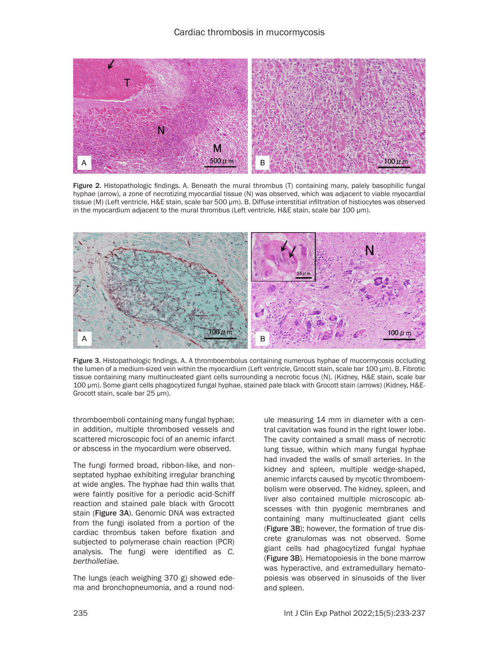# Cardiac thrombosis in mucormycosis



Figure 2. Histopathologic findings. A. Beneath the mural thrombus (T) containing many, palely basophilic fungal hyphae (arrow), a zone of necrotizing myocardial tissue (N) was observed, which was adjacent to viable myocardial tissue (M) (Left ventricle, H&E stain, scale bar 500 μm). B. Diffuse interstitial infiltration of histiocytes was observed in the myocardium adjacent to the mural thrombus (Left ventricle, H&E stain, scale bar 100 μm).



Figure 3. Histopathologic findings. A. A thromboembolus containing numerous hyphae of mucormycosis occluding the lumen of a medium-sized vein within the myocardium (Left ventricle, Grocott stain, scale bar 100 μm). B. Fibrotic tissue containing many multinucleated giant cells surrounding a necrotic focus (N). (Kidney, H&E stain, scale bar 100 μm). Some giant cells phagocytized fungal hyphae, stained pale black with Grocott stain (arrows) (Kidney, H&E-Grocott stain, scale bar 25 μm).

thromboemboli containing many fungal hyphae; in addition, multiple thrombosed vessels and scattered microscopic foci of an anemic infarct or abscess in the myocardium were observed.

The fungi formed broad, ribbon-like, and nonseptated hyphae exhibiting irregular branching at wide angles. The hyphae had thin walls that were faintly positive for a periodic acid-Schiff reaction and stained pale black with Grocott stain (Figure 3A). Genomic DNA was extracted from the fungi isolated from a portion of the cardiac thrombus taken before fixation and subjected to polymerase chain reaction (PCR) analysis. The fungi were identified as *C. bertholletiae.*

The lungs (each weighing 370 g) showed edema and bronchopneumonia, and a round nodule measuring 14 mm in diameter with a central cavitation was found in the right lower lobe. The cavity contained a small mass of necrotic lung tissue, within which many fungal hyphae had invaded the walls of small arteries. In the kidney and spleen, multiple wedge-shaped, anemic infarcts caused by mycotic thromboembolism were observed. The kidney, spleen, and liver also contained multiple microscopic abscesses with thin pyogenic membranes and containing many multinucleated giant cells (Figure 3B); however, the formation of true discrete granulomas was not observed. Some giant cells had phagocytized fungal hyphae (Figure 3B). Hematopoiesis in the bone marrow was hyperactive, and extramedullary hematopoiesis was observed in sinusoids of the liver and spleen.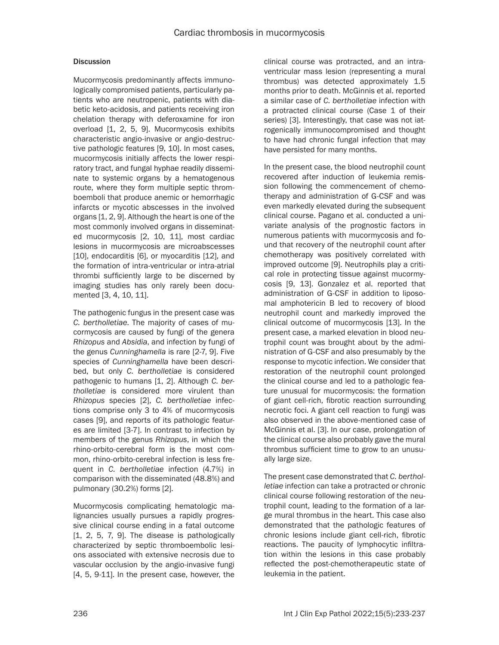# **Discussion**

Mucormycosis predominantly affects immunologically compromised patients, particularly patients who are neutropenic, patients with diabetic keto-acidosis, and patients receiving iron chelation therapy with deferoxamine for iron overload [1, 2, 5, 9]. Mucormycosis exhibits characteristic angio-invasive or angio-destructive pathologic features [9, 10]. In most cases, mucormycosis initially affects the lower respiratory tract, and fungal hyphae readily disseminate to systemic organs by a hematogenous route, where they form multiple septic thromboemboli that produce anemic or hemorrhagic infarcts or mycotic abscesses in the involved organs [1, 2, 9]. Although the heart is one of the most commonly involved organs in disseminated mucormycosis [2, 10, 11], most cardiac lesions in mucormycosis are microabscesses [10], endocarditis [6], or myocarditis [12], and the formation of intra-ventricular or intra-atrial thrombi sufficiently large to be discerned by imaging studies has only rarely been documented [3, 4, 10, 11].

The pathogenic fungus in the present case was *C. bertholletiae*. The majority of cases of mucormycosis are caused by fungi of the genera *Rhizopus* and *Absidia*, and infection by fungi of the genus *Cunninghamella* is rare [2-7, 9]. Five species of *Cunninghamella* have been described, but only *C. bertholletiae* is considered pathogenic to humans [1, 2]. Although *C. bertholletiae* is considered more virulent than *Rhizopus* species [2], *C. bertholletiae* infections comprise only 3 to 4% of mucormycosis cases [9], and reports of its pathologic features are limited [3-7]. In contrast to infection by members of the genus *Rhizopus*, in which the rhino-orbito-cerebral form is the most common, rhino-orbito-cerebral infection is less frequent in *C. bertholletiae* infection (4.7%) in comparison with the disseminated (48.8%) and pulmonary (30.2%) forms [2].

Mucormycosis complicating hematologic malignancies usually pursues a rapidly progressive clinical course ending in a fatal outcome [1, 2, 5, 7, 9]. The disease is pathologically characterized by septic thromboembolic lesions associated with extensive necrosis due to vascular occlusion by the angio-invasive fungi [4, 5, 9-11]. In the present case, however, the clinical course was protracted, and an intraventricular mass lesion (representing a mural thrombus) was detected approximately 1.5 months prior to death. McGinnis et al. reported a similar case of *C. bertholletiae* infection with a protracted clinical course (Case 1 of their series) [3]. Interestingly, that case was not iatrogenically immunocompromised and thought to have had chronic fungal infection that may have persisted for many months.

In the present case, the blood neutrophil count recovered after induction of leukemia remission following the commencement of chemotherapy and administration of G-CSF and was even markedly elevated during the subsequent clinical course. Pagano et al. conducted a univariate analysis of the prognostic factors in numerous patients with mucormycosis and found that recovery of the neutrophil count after chemotherapy was positively correlated with improved outcome [9]. Neutrophils play a critical role in protecting tissue against mucormycosis [9, 13]. Gonzalez et al. reported that administration of G-CSF in addition to liposomal amphotericin B led to recovery of blood neutrophil count and markedly improved the clinical outcome of mucormycosis [13]. In the present case, a marked elevation in blood neutrophil count was brought about by the administration of G-CSF and also presumably by the response to mycotic infection. We consider that restoration of the neutrophil count prolonged the clinical course and led to a pathologic feature unusual for mucormycosis: the formation of giant cell-rich, fibrotic reaction surrounding necrotic foci. A giant cell reaction to fungi was also observed in the above-mentioned case of McGinnis et al. [3]. In our case, prolongation of the clinical course also probably gave the mural thrombus sufficient time to grow to an unusually large size.

The present case demonstrated that *C. bertholletiae* infection can take a protracted or chronic clinical course following restoration of the neutrophil count, leading to the formation of a large mural thrombus in the heart. This case also demonstrated that the pathologic features of chronic lesions include giant cell-rich, fibrotic reactions. The paucity of lymphocytic infiltration within the lesions in this case probably reflected the post-chemotherapeutic state of leukemia in the patient.